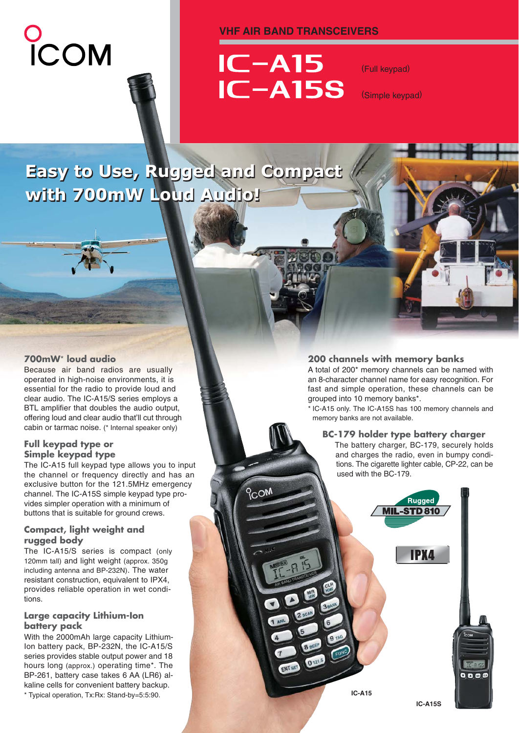# COM

#### **VHF AIR BAND TRANSCEIVERS**



(Full keypad)

(Simple keypad)

# **Easy to Use, Rugged and Compact Easy to Use, Rugged and Compact with 700mW Loud Audio! with 700mW Loud Audio!**

#### **700mW**\* **loud audio**

Because air band radios are usually operated in high-noise environments, it is essential for the radio to provide loud and clear audio. The IC-A15/S series employs a BTL amplifier that doubles the audio output, offering loud and clear audio that'll cut through cabin or tarmac noise. (\* Internal speaker only)

#### **Full keypad type or Simple keypad type**

The IC-A15 full keypad type allows you to input the channel or frequency directly and has an exclusive button for the 121.5MHz emergency channel. The IC-A15S simple keypad type provides simpler operation with a minimum of buttons that is suitable for ground crews.

#### **Compact, light weight and rugged body**

The IC-A15/S series is compact (only 120mm tall) and light weight (approx. 350g including antenna and BP-232N). The water resistant construction, equivalent to IPX4, provides reliable operation in wet conditions.

#### **Large capacity Lithium-Ion battery pack**

With the 2000mAh large capacity Lithium-Ion battery pack, BP-232N, the IC-A15/S series provides stable output power and 18 hours long (approx.) operating time\*. The BP-261, battery case takes 6 AA (LR6) alkaline cells for convenient battery backup. \* Typical operation, Tx:Rx: Stand-by=5:5:90.

#### **200 channels with memory banks**

A total of 200\* memory channels can be named with an 8-character channel name for easy recognition. For fast and simple operation, these channels can be grouped into 10 memory banks\*.

\* IC-A15 only. The IC-A15S has 100 memory channels and memory banks are not available.

#### **BC-179 holder type battery charger**

The battery charger, BC-179, securely holds and charges the radio, even in bumpy conditions. The cigarette lighter cable, CP-22, can be used with the BC-179.